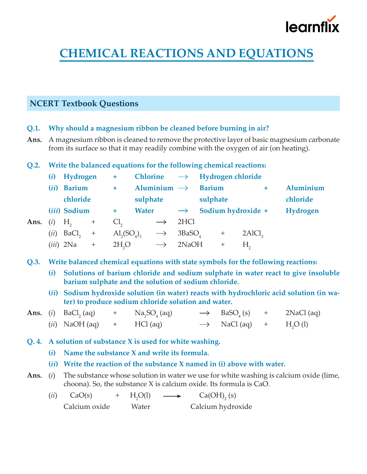

# **CHEMICAL REACTIONS AND EQUATIONS**

# **NCERT Textbook Questions**

- **Q.1. Why should a magnesium ribbon be cleaned before burning in air?**
- **Ans.** A magnesium ribbon is cleaned to remove the protective layer of basic magnesium carbonate from its surface so that it may readily combine with the oxygen of air (on heating).

#### **Q.2. Write the balanced equations for the following chemical reactions:**

|      | (i)  | Hydrogen          |           | ÷.                                     |              | <b>Chlorine</b>         |                    | $\rightarrow$ Hydrogen chloride |                  |                    |  |           |
|------|------|-------------------|-----------|----------------------------------------|--------------|-------------------------|--------------------|---------------------------------|------------------|--------------------|--|-----------|
|      | (ii) | <b>Barium</b>     |           | $+$                                    |              | Aluminium $\rightarrow$ |                    | <b>Barium</b>                   |                  |                    |  | Aluminium |
|      |      | chloride          |           |                                        | sulphate     |                         |                    | sulphate                        |                  |                    |  | chloride  |
|      |      | (iii) Sodium      |           | $+$                                    | <b>Water</b> |                         | $\rightarrow$      |                                 |                  | Sodium hydroxide + |  | Hydrogen  |
| Ans. | (i)  | $H_{\rm o}$       | $\ddot{}$ | Cl <sub>2</sub>                        |              | $\longrightarrow$       | 2HCl               |                                 |                  |                    |  |           |
|      | (ii) | BaCl <sub>2</sub> | $^{+}$    | $\mathrm{Al}_{2}(\mathrm{SO}_{4})_{3}$ |              | $\rightarrow$           | 3BaSO <sub>a</sub> |                                 | $\boldsymbol{+}$ | 2AICl <sub>3</sub> |  |           |
|      |      | $(iii)$ 2Na       | $\ddot{}$ | 2H <sub>2</sub> O                      |              | $\longrightarrow$       | 2NaOH              |                                 | $\pm$            | H.                 |  |           |

**Q.3. Write balanced chemical equations with state symbols for the following reactions:**

- **(***i***) Solutions of barium chloride and sodium sulphate in water react to give insoluble barium sulphate and the solution of sodium chloride.**
- **(***ii***) Sodium hydroxide solution (in water) reacts with hydrochloric acid solution (in water) to produce sodium chloride solution and water.**

|  | <b>Ans.</b> ( <i>i</i> ) BaCl <sub>2</sub> (aq) | Na <sub>2</sub> SO <sub>4</sub> (aq) | $\rightarrow$ BaSO <sub>4</sub> (s) | $2NaCl$ (aq)         |
|--|-------------------------------------------------|--------------------------------------|-------------------------------------|----------------------|
|  | $(ii)$ NaOH $(aq)$                              | $HCl$ (aq)                           | $\rightarrow$ NaCl(aq) +            | H <sub>2</sub> O (l) |

- **Q. 4. A solution of substance X is used for white washing.**
	- **(***i***) Name the substance X and write its formula.**
	- **(***ii***) Write the reaction of the substance X named in (i) above with water.**
- **Ans.** (*i*) The substance whose solution in water we use for white washing is calcium oxide (lime, choona). So, the substance X is calcium oxide. Its formula is CaO.

| (ii) | CaO(s)        | $+ H2O(l)$ | $\longrightarrow$ | $Ca(OH)$ <sub>2</sub> (s) |
|------|---------------|------------|-------------------|---------------------------|
|      | Calcium oxide | Water      |                   | Calcium hydroxide         |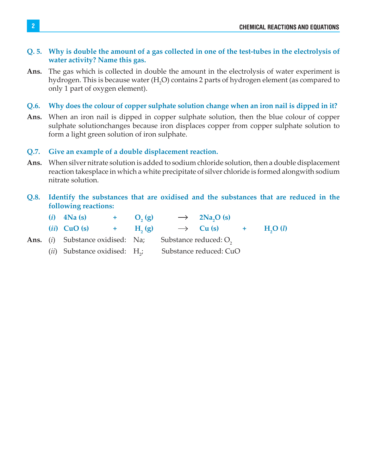#### **Q. 5. Why is double the amount of a gas collected in one of the test-tubes in the electrolysis of water activity? Name this gas.**

**Ans.** The gas which is collected in double the amount in the electrolysis of water experiment is hydrogen. This is because water (H<sub>2</sub>O) contains 2 parts of hydrogen element (as compared to only 1 part of oxygen element).

#### **Q.6. Why does the colour of copper sulphate solution change when an iron nail is dipped in it?**

**Ans.** When an iron nail is dipped in copper sulphate solution, then the blue colour of copper sulphate solutionchanges because iron displaces copper from copper sulphate solution to form a light green solution of iron sulphate.

#### **Q.7. Give an example of a double displacement reaction.**

**Ans.** When silver nitrate solution is added to sodium chloride solution, then a double displacement reaction takesplace in which a white precipitate of silver chloride is formed alongwith sodium nitrate solution.

#### **Q.8. Identify the substances that are oxidised and the substances that are reduced in the following reactions:**

|  | $(i)$ 4Na (s)                                    | $+$ O <sub>2</sub> (g) |                                                                 | $\rightarrow$ 2Na <sub>2</sub> O (s)        |  |  |  |
|--|--------------------------------------------------|------------------------|-----------------------------------------------------------------|---------------------------------------------|--|--|--|
|  | ( <i>ii</i> ) CuO (s) $+$ H <sub>2</sub> (g)     |                        |                                                                 | $\rightarrow$ Cu (s) + H <sub>2</sub> O (l) |  |  |  |
|  |                                                  |                        | <b>Ans.</b> (i) Substance oxidised: Na; Substance reduced: $O2$ |                                             |  |  |  |
|  | ( <i>ii</i> ) Substance oxidised: $H_{\gamma}$ ; |                        |                                                                 | Substance reduced: CuO                      |  |  |  |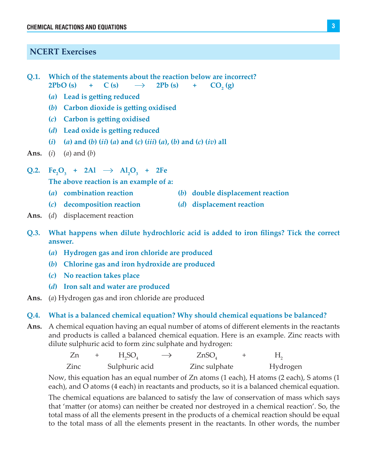#### **NCERT Exercises**

- **Q.1. Which of the statements about the reaction below are incorrect? 2PbO** (s) + **C** (s)  $\rightarrow$  **2Pb** (s) + **CO**<sub>2</sub>  **(g)**
	- **(***a***) Lead is getting reduced**
	- **(***b***) Carbon dioxide is getting oxidised**
	- **(***c***) Carbon is getting oxidised**
	- **(***d***) Lead oxide is getting reduced**
	- (i) (a) and (b) (ii) (a) and (c) (iii) (a), (b) and (c) (iv) all
- **Ans.** (*i*) (*a*) and (*b*)
- $Q.2. \text{ Fe}_2O_3 + 2Al \rightarrow Al_2O_3 + 2Fe$

**The above reaction is an example of a:**

- **(***a***) combination reaction (***b***) double displacement reaction**
	-
- **(***c***) decomposition reaction (***d***) displacement reaction**
- **Ans.** (*d*) displacement reaction
- **Q.3. What happens when dilute hydrochloric acid is added to iron filings? Tick the correct answer.**
	- **(***a***) Hydrogen gas and iron chloride are produced**
	- **(***b***) Chlorine gas and iron hydroxide are produced**
	- **(***c***) No reaction takes place**
	- **(***d***) Iron salt and water are produced**
- **Ans.** (*a*) Hydrogen gas and iron chloride are produced

#### **Q.4. What is a balanced chemical equation? Why should chemical equations be balanced?**

**Ans.** A chemical equation having an equal number of atoms of different elements in the reactants and products is called a balanced chemical equation. Here is an example. Zinc reacts with dilute sulphuric acid to form zinc sulphate and hydrogen:

|      | H <sub>3</sub> SO <sub>4</sub> | $\longrightarrow$ | ZnSO          |          |
|------|--------------------------------|-------------------|---------------|----------|
| ∠inc | Sulphuric acid                 |                   | Zinc sulphate | Hydrogen |

 Now, this equation has an equal number of Zn atoms (1 each), H atoms (2 each), S atoms (1 each), and O atoms (4 each) in reactants and products, so it is a balanced chemical equation.

 The chemical equations are balanced to satisfy the law of conservation of mass which says that 'matter (or atoms) can neither be created nor destroyed in a chemical reaction'. So, the total mass of all the elements present in the products of a chemical reaction should be equal to the total mass of all the elements present in the reactants. In other words, the number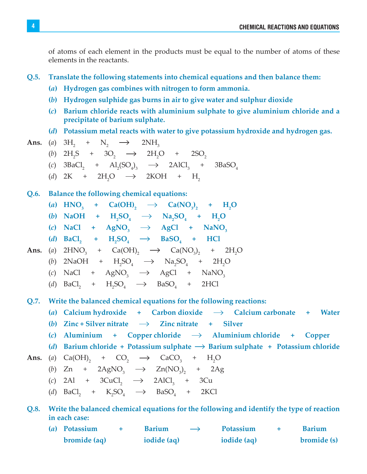of atoms of each element in the products must be equal to the number of atoms of these elements in the reactants.

#### **Q.5. Translate the following statements into chemical equations and then balance them:**

- **(***a***) Hydrogen gas combines with nitrogen to form ammonia.**
- **(***b***) Hydrogen sulphide gas burns in air to give water and sulphur dioxide**
- **(***c***) Barium chloride reacts with aluminium sulphate to give aluminium chloride and a precipitate of barium sulphate.**
- **(***d***) Potassium metal reacts with water to give potassium hydroxide and hydrogen gas.**

Ans. (a) 
$$
3H_2 + N_2 \rightarrow 2NH_3
$$

- (*b*)  $2H_2S + 3O_2 \rightarrow 2H_2O + 2SO_2$
- (*c*)  $3\text{BaCl}_2$  +  $\text{Al}_2(\text{SO}_4)_3$   $\longrightarrow$   $2\text{AlCl}_3$ 3BaSO<sub>4</sub>
- (*d*) 2K + 2H<sub>2</sub>O  $\rightarrow$  $2KOH + H<sub>2</sub>$

#### **Q.6. Balance the following chemical equations:**

- $(a)$  HNO<sub>3</sub> + Ca(OH)<sub>2</sub>  $\rightarrow$  Ca(NO<sub>3</sub>)<sub>2</sub> + H<sub>2</sub>O
- (*b*) NaOH +  $H_2SO_4 \to Na_2SO_4 + H_2O$
- $\text{(c)}$  NaCl + AgNO<sub>3</sub>  $\rightarrow$  AgCl + NaNO<sub>3</sub>
- $(d)$  **BaCl**<sub>2</sub> **+ H**<sub>2</sub>**SO**<sub>4</sub>  $\rightarrow$  **BaSO**<sub>4</sub> **+ HCl**
- **Ans.** (a)  $2HNO_3$  +  $Ca(OH)_2$   $\longrightarrow$   $Ca(NO_3)_2$  +  $2H_2$  $2H<sub>2</sub>O$ 
	- (*b*) 2NaOH +  $H_2SO_4 \rightarrow Na_2SO_4 + 2H_2O$
	- (*c*) NaCl + AgNO<sub>3</sub>  $\rightarrow$  AgCl + NaNO<sub>3</sub>
	- (*d*)  $BaCl_2$  +  $H_2SO_4$   $\longrightarrow$   $BaSO_4$  + 2HCl

**Q.7. Write the balanced chemical equations for the following reactions:**

(a) Calcium hydroxide  $+$  Carbon dioxide  $\rightarrow$  Calcium carbonate  $+$  Water

- (b) Zinc + Silver nitrate  $\rightarrow$  Zinc nitrate + Silver
- (*c*) Aluminium + Copper chloride  $\rightarrow$  Aluminium chloride + Copper
- (*d*) Barium chloride + Potassium sulphate  $\rightarrow$  Barium sulphate + Potassium chloride

**Ans.** (a) 
$$
Ca(OH)_2
$$
 +  $CO_2$   $\rightarrow$   $CaCO_3$  +  $H_2O$ 

- (*b*)  $Zn + 2AgNO_3 \rightarrow Zn(NO_3)_2 + 2Ag$
- (*c*) 2Al + 3CuCl<sub>2</sub>  $\rightarrow$  2AlCl<sub>3</sub> + 3Cu
- (*d*)  $BaCl_2$  +  $K_2SO_4$   $\longrightarrow$   $BaSO_4$  + 2KCl

#### **Q.8. Write the balanced chemical equations for the following and identify the type of reaction in each case:**

**(***a***) Potassium + Barium Potassium + Barium bromide (aq)** iodide (aq) iodide (aq) bromide (s)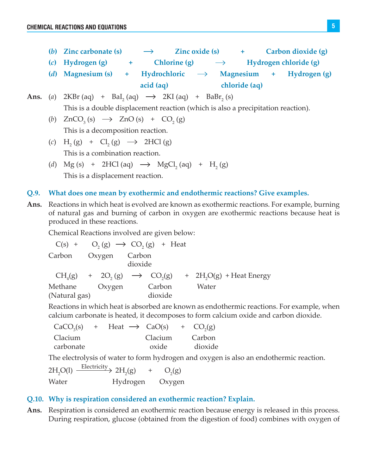- (b) Zinc carbonate (s)  $\rightarrow$  Zinc oxide (s)  $+$  Carbon dioxide (g)
- (*c*) Hydrogen (g)  $+$  Chlorine (g)  $\rightarrow$  Hydrogen chloride (g)
- (*d*) Magnesium (s) + Hydrochloric  $\rightarrow$  Magnesium + Hydrogen (g)  **acid (aq) chloride (aq)**

**Ans.** (a) 2KBr (aq) + 
$$
BaI_2
$$
 (aq)  $\rightarrow$  2KI (aq) +  $BaBr_2$  (s)  
This is a double displacement reaction (which is also a precipitation reaction).

- (b)  $ZnCO_3(s) \rightarrow ZnO(s) + CO_2(g)$ This is a decomposition reaction.
- $(c)$  H<sub>2</sub>(g) + Cl<sub>2</sub>(g)  $\rightarrow$  2HCl(g) This is a combination reaction.
- (*d*)  $Mg(s)$  + 2HCl (aq)  $\rightarrow$   $MgCl<sub>2</sub>(aq)$  + H<sub>2</sub>(g) This is a displacement reaction.

#### **Q.9. What does one mean by exothermic and endothermic reactions? Give examples.**

**Ans.** Reactions in which heat is evolved are known as exothermic reactions. For example, burning of natural gas and burning of carbon in oxygen are exothermic reactions because heat is produced in these reactions.

Chemical Reactions involved are given below:

|               | $C(s) + O_2(g) \rightarrow CO_2(g) + Heat$ |         |                                                                                                       |
|---------------|--------------------------------------------|---------|-------------------------------------------------------------------------------------------------------|
|               | Carbon Oxygen Carbon<br>dioxide            |         |                                                                                                       |
|               |                                            |         | $CH4(g)$ + 2O <sub>2</sub> (g) $\rightarrow$ CO <sub>2</sub> (g) + 2H <sub>2</sub> O(g) + Heat Energy |
| Methane       | Oxygen                                     | Carbon  | Water                                                                                                 |
| (Natural gas) |                                            | dioxide |                                                                                                       |

 Reactions in which heat is absorbed are known as endothermic reactions. For example, when calcium carbonate is heated, it decomposes to form calcium oxide and carbon dioxide.

| CaCO <sub>3</sub> (s) | + Heat $\rightarrow$ CaO(s) + CO <sub>2</sub> (g) |         |         |
|-----------------------|---------------------------------------------------|---------|---------|
| Clacium               |                                                   | Clacium | Carbon  |
| carbonate             |                                                   | oxide   | dioxide |

The electrolysis of water to form hydrogen and oxygen is also an endothermic reaction.

 $2H<sub>2</sub>O(1)$ Electricity  $2H_2(g)$  $+$  $O<sub>2</sub>(g)$ Water Hydrogen Oxygen

#### **Q.10. Why is respiration considered an exothermic reaction? Explain.**

**Ans.** Respiration is considered an exothermic reaction because energy is released in this process. During respiration, glucose (obtained from the digestion of food) combines with oxygen of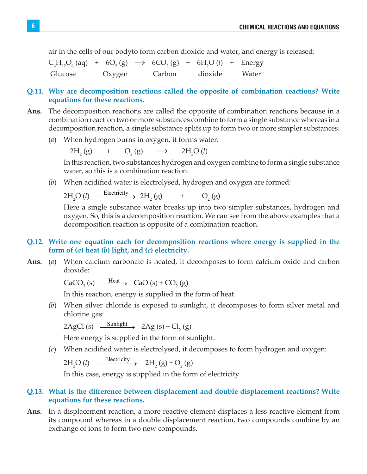air in the cells of our bodyto form carbon dioxide and water, and energy is released:

 $C_6H_{12}O_6$  (aq) + 6O<sub>2</sub> (g)  $\rightarrow$  6CO<sub>2</sub> (g) + 6H<sub>2</sub>O (l) + Energy Glucose Oxygen Carbon dioxide Water

#### **Q.11. Why are decomposition reactions called the opposite of combination reactions? Write equations for these reactions.**

- **Ans.** The decomposition reactions are called the opposite of combination reactions because in a combination reaction two or more substances combine to form a single substance whereas in a decomposition reaction, a single substance splits up to form two or more simpler substances.
	- (*a*) When hydrogen burns in oxygen, it forms water:

 $2H_2(g) + O_2$ (g)  $\longrightarrow$  2H<sub>2</sub>O (l)

> In this reaction, two substances hydrogen and oxygen combine to form a single substance water, so this is a combination reaction.

(*b*) When acidified water is electrolysed, hydrogen and oxygen are formed:

 $2H<sub>2</sub>O (l) O(l) \xrightarrow{\text{Electricity}} 2H_2(g) + O_2$  $O<sub>2</sub>(g)$ 

 Here a single substance water breaks up into two simpler substances, hydrogen and oxygen. So, this is a decomposition reaction. We can see from the above examples that a decomposition reaction is opposite of a combination reaction.

## **Q.12. Write one equation each for decomposition reactions where energy is supplied in the form of (***a***) heat (***b***) light, and (***c***) electricity.**

**Ans.** (*a*) When calcium carbonate is heated, it decomposes to form calcium oxide and carbon dioxide:

 $CaCO<sub>3</sub>(s) \xrightarrow{\text{Heat}} CaO(s) + CO<sub>2</sub>(g)$ 

In this reaction, energy is supplied in the form of heat.

(*b*) When silver chloride is exposed to sunlight, it decomposes to form silver metal and chlorine gas:

 $2\text{AgCl}(s) \xrightarrow{\text{Sunlight}} 2\text{Ag}(s) + \text{Cl}_2(g)$ 

Here energy is supplied in the form of sunlight.

(*c*) When acidified water is electrolysed, it decomposes to form hydrogen and oxygen:

 $2H_2O(l) \xrightarrow{\text{Electricity}} 2H_2(g) + O_2(g)$ 

In this case, energy is supplied in the form of electricity.

## **Q.13. What is the difference between displacement and double displacement reactions? Write equations for these reactions.**

**Ans.** In a displacement reaction, a more reactive element displaces a less reactive element from its compound whereas in a double displacement reaction, two compounds combine by an exchange of ions to form two new compounds.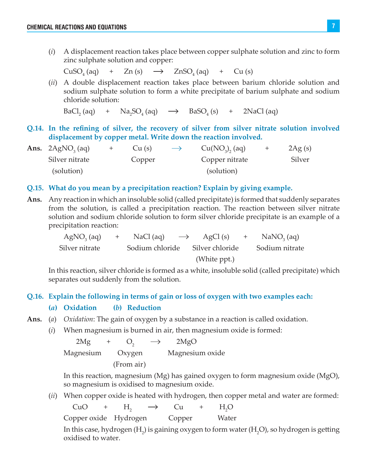(*i*) A displacement reaction takes place between copper sulphate solution and zinc to form zinc sulphate solution and copper:

 $CuSO<sub>4</sub>(aq) +$  $\text{Zn}(s) \rightarrow \text{ZnSO}_4(aq)$  $+$  Cu (s)

(*ii*) A double displacement reaction takes place between barium chloride solution and sodium sulphate solution to form a white precipitate of barium sulphate and sodium chloride solution:

 $BaCl<sub>2</sub>(aq)$ (aq) +  $\text{Na}_2\text{SO}_4$  (aq)  $\rightarrow$  BaSO<sub>4</sub>  $2$ NaCl (aq)

**Q.14. In the refining of silver, the recovery of silver from silver nitrate solution involved displacement by copper metal. Write down the reaction involved.**

| Ans. $2AgNO3(aq)$ | Cu(s)  | $\longrightarrow$ | Cu(NO <sub>3</sub> ), (aq) | 2Ag(s) |
|-------------------|--------|-------------------|----------------------------|--------|
| Silver nitrate    | Copper |                   | Copper nitrate             | Silver |
| (solution)        |        |                   | (solution)                 |        |

#### **Q.15. What do you mean by a precipitation reaction? Explain by giving example.**

**Ans.** Any reaction in which an insoluble solid (called precipitate) is formed that suddenly separates from the solution, is called a precipitation reaction. The reaction between silver nitrate solution and sodium chloride solution to form silver chloride precipitate is an example of a precipitation reaction:

|                | AgNO <sub>3</sub> (aq) + NaCl(aq) $\rightarrow$ AgCl(s) + NaNO <sub>3</sub> (aq) |              |                |
|----------------|----------------------------------------------------------------------------------|--------------|----------------|
| Silver nitrate | Sodium chloride Silver chloride                                                  |              | Sodium nitrate |
|                |                                                                                  | (White ppt.) |                |

 In this reaction, silver chloride is formed as a white, insoluble solid (called precipitate) which separates out suddenly from the solution.

#### **Q.16. Explain the following in terms of gain or loss of oxygen with two examples each:**

- **(***a***) Oxidation (***b***) Reduction**
- **Ans.** (*a*) *Oxidation*: The gain of oxygen by a substance in a reaction is called oxidation.
	- (*i*) When magnesium is burned in air, then magnesium oxide is formed:

 $2Mg + O<sub>2</sub>$  $\rightarrow$  2MgO Magnesium Oxygen Magnesium oxide (From air)

 In this reaction, magnesium (Mg) has gained oxygen to form magnesium oxide (MgO), so magnesium is oxidised to magnesium oxide.

(*ii*) When copper oxide is heated with hydrogen, then copper metal and water are formed:

 $CuO$  +  $H_2$  $\rightarrow$  Cu + H<sub>2</sub>  $H<sub>2</sub>O$ Copper oxide Hydrogen Copper Water

In this case, hydrogen ( $H_2$ ) is gaining oxygen to form water ( $H_2O$ ), so hydrogen is getting oxidised to water.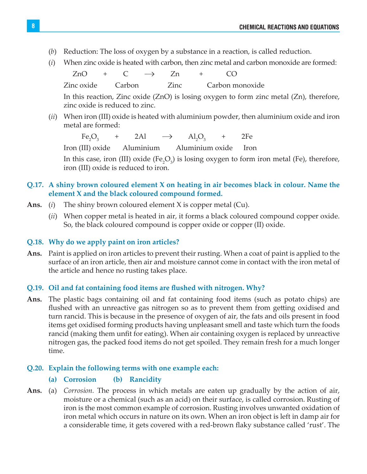- (*b*) Reduction: The loss of oxygen by a substance in a reaction, is called reduction.
- (*i*) When zinc oxide is heated with carbon, then zinc metal and carbon monoxide are formed:

 $ZnO + C \rightarrow Zn + CO$ Zinc oxide Carbon Zinc Carbon monoxide

> In this reaction, Zinc oxide (ZnO) is losing oxygen to form zinc metal (Zn), therefore, zinc oxide is reduced to zinc.

(*ii*) When iron (III) oxide is heated with aluminium powder, then aluminium oxide and iron metal are formed:

 $Fe<sub>2</sub>O<sub>3</sub>$ + 2Al  $\rightarrow$   $Al_2O_3$  + 2Fe

Iron (III) oxide Aluminium Aluminium oxide Iron

In this case, iron (III) oxide ( $Fe<sub>2</sub>O<sub>3</sub>$ ) is losing oxygen to form iron metal (Fe), therefore, iron (III) oxide is reduced to iron.

## **Q.17. A shiny brown coloured element X on heating in air becomes black in colour. Name the element X and the black coloured compound formed.**

- **Ans.** (*i*) The shiny brown coloured element X is copper metal (Cu).
	- (*ii*) When copper metal is heated in air, it forms a black coloured compound copper oxide. So, the black coloured compound is copper oxide or copper (II) oxide.

#### **Q.18. Why do we apply paint on iron articles?**

**Ans.** Paint is applied on iron articles to prevent their rusting. When a coat of paint is applied to the surface of an iron article, then air and moisture cannot come in contact with the iron metal of the article and hence no rusting takes place.

#### **Q.19. Oil and fat containing food items are flushed with nitrogen. Why?**

**Ans.** The plastic bags containing oil and fat containing food items (such as potato chips) are flushed with an unreactive gas nitrogen so as to prevent them from getting oxidised and turn rancid. This is because in the presence of oxygen of air, the fats and oils present in food items get oxidised forming products having unpleasant smell and taste which turn the foods rancid (making them unfit for eating). When air containing oxygen is replaced by unreactive nitrogen gas, the packed food items do not get spoiled. They remain fresh for a much longer time.

#### **Q.20. Explain the following terms with one example each:**

#### **(a) Corrosion (b) Rancidity**

**Ans.** (a) *Corrosion.* The process in which metals are eaten up gradually by the action of air, moisture or a chemical (such as an acid) on their surface, is called corrosion. Rusting of iron is the most common example of corrosion. Rusting involves unwanted oxidation of iron metal which occurs in nature on its own. When an iron object is left in damp air for a considerable time, it gets covered with a red-brown flaky substance called 'rust'. The